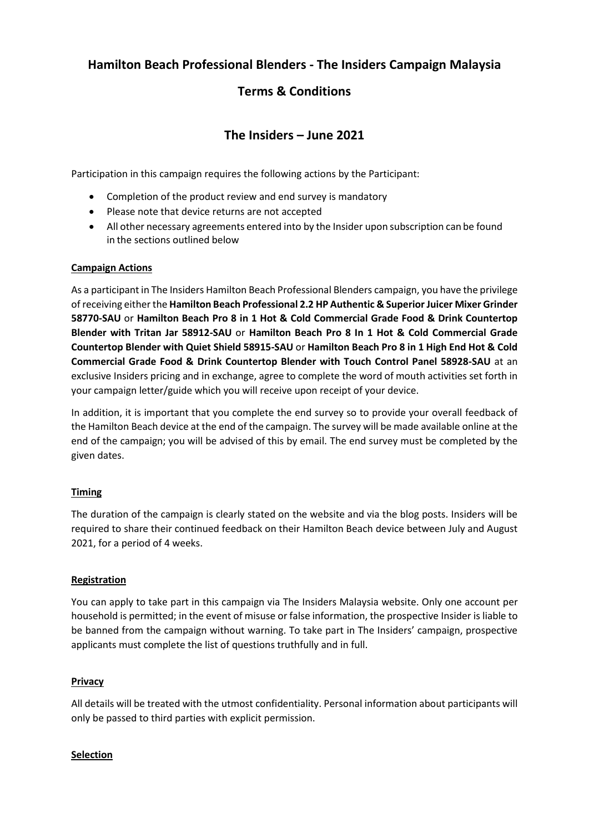# **Hamilton Beach Professional Blenders - The Insiders Campaign Malaysia**

# **Terms & Conditions**

# **The Insiders – June 2021**

Participation in this campaign requires the following actions by the Participant:

- Completion of the product review and end survey is mandatory
- Please note that device returns are not accepted
- All other necessary agreements entered into by the Insider upon subscription can be found in the sections outlined below

## **Campaign Actions**

As a participant in The Insiders Hamilton Beach Professional Blenders campaign, you have the privilege of receiving either the **Hamilton Beach Professional 2.2 HP Authentic & Superior Juicer Mixer Grinder 58770-SAU** or **Hamilton Beach Pro 8 in 1 Hot & Cold Commercial Grade Food & Drink Countertop Blender with Tritan Jar 58912-SAU** or **Hamilton Beach Pro 8 In 1 Hot & Cold Commercial Grade Countertop Blender with Quiet Shield 58915-SAU** or **Hamilton Beach Pro 8 in 1 High End Hot & Cold Commercial Grade Food & Drink Countertop Blender with Touch Control Panel 58928-SAU** at an exclusive Insiders pricing and in exchange, agree to complete the word of mouth activities set forth in your campaign letter/guide which you will receive upon receipt of your device.

In addition, it is important that you complete the end survey so to provide your overall feedback of the Hamilton Beach device at the end of the campaign. The survey will be made available online at the end of the campaign; you will be advised of this by email. The end survey must be completed by the given dates.

# **Timing**

The duration of the campaign is clearly stated on the website and via the blog posts. Insiders will be required to share their continued feedback on their Hamilton Beach device between July and August 2021, for a period of 4 weeks.

# **Registration**

You can apply to take part in this campaign via The Insiders Malaysia website. Only one account per household is permitted; in the event of misuse or false information, the prospective Insider is liable to be banned from the campaign without warning. To take part in The Insiders' campaign, prospective applicants must complete the list of questions truthfully and in full.

#### **Privacy**

All details will be treated with the utmost confidentiality. Personal information about participants will only be passed to third parties with explicit permission.

#### **Selection**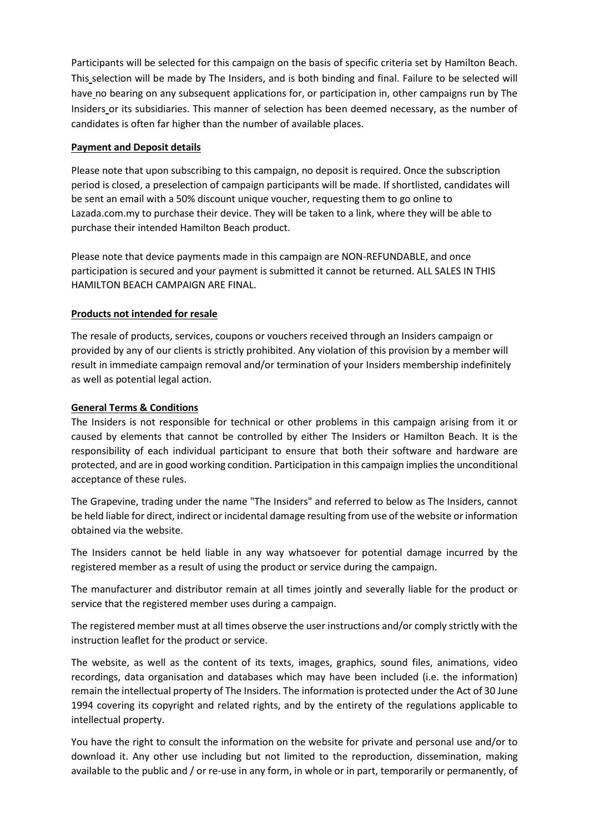Participants will be selected for this campaign on the basis of specific criteria set by Hamilton Beach. This selection will be made by The Insiders, and is both binding and final. Failure to be selected will have no bearing on any subsequent applications for, or participation in, other campaigns run by The Insiders or its subsidiaries. This manner of selection has been deemed necessary, as the number of candidates is often far higher than the number of available places.

## **Payment and Deposit details**

Please note that upon subscribing to this campaign, no deposit is required. Once the subscription period is closed, a preselection of campaign participants will be made. If shortlisted, candidates will be sent an email with a 50% discount unique voucher, requesting them to go online to Lazada.com.my to purchase their device. They will be taken to a link, where they will be able to purchase their intended Hamilton Beach product.

Please note that device payments made in this campaign are NON-REFUNDABLE, and once participation is secured and your payment is submitted it cannot be returned. ALL SALES IN THIS HAMILTON BEACH CAMPAIGN ARE FINAL.

## **Products not intended for resale**

The resale of products, services, coupons or vouchers received through an Insiders campaign or provided by any of our clients is strictly prohibited. Any violation of this provision by a member will result in immediate campaign removal and/or termination of your Insiders membership indefinitely as well as potential legal action.

## **General Terms & Conditions**

The Insiders is not responsible for technical or other problems in this campaign arising from it or caused by elements that cannot be controlled by either The Insiders or Hamilton Beach. It is the responsibility of each individual participant to ensure that both their software and hardware are protected, and are in good working condition. Participation in this campaign implies the unconditional acceptance of these rules.

The Grapevine, trading under the name "The Insiders" and referred to below as The Insiders, cannot be held liable for direct, indirect or incidental damage resulting from use of the website or information obtained via the website.

The Insiders cannot be held liable in any way whatsoever for potential damage incurred by the registered member as a result of using the product or service during the campaign.

The manufacturer and distributor remain at all times jointly and severally liable for the product or service that the registered member uses during a campaign.

The registered member must at all times observe the user instructions and/or comply strictly with the instruction leaflet for the product or service.

The website, as well as the content of its texts, images, graphics, sound files, animations, video recordings, data organisation and databases which may have been included (i.e. the information) remain the intellectual property of The Insiders. The information is protected under the Act of 30 June 1994 covering its copyright and related rights, and by the entirety of the regulations applicable to intellectual property.

You have the right to consult the information on the website for private and personal use and/or to download it. Any other use including but not limited to the reproduction, dissemination, making available to the public and / or re-use in any form, in whole or in part, temporarily or permanently, of